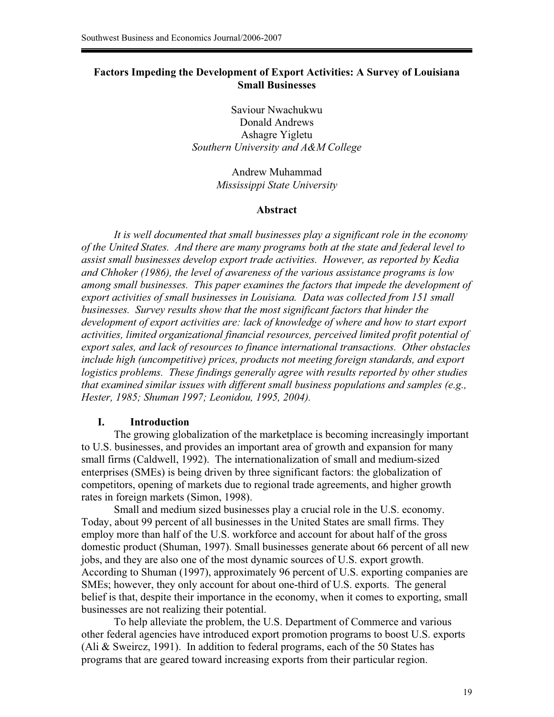## **Factors Impeding the Development of Export Activities: A Survey of Louisiana Small Businesses**

Saviour Nwachukwu Donald Andrews Ashagre Yigletu *Southern University and A&M College* 

> Andrew Muhammad *Mississippi State University*

### **Abstract**

*It is well documented that small businesses play a significant role in the economy of the United States. And there are many programs both at the state and federal level to assist small businesses develop export trade activities. However, as reported by Kedia and Chhoker (1986), the level of awareness of the various assistance programs is low among small businesses. This paper examines the factors that impede the development of export activities of small businesses in Louisiana. Data was collected from 151 small businesses. Survey results show that the most significant factors that hinder the development of export activities are: lack of knowledge of where and how to start export activities, limited organizational financial resources, perceived limited profit potential of export sales, and lack of resources to finance international transactions. Other obstacles include high (uncompetitive) prices, products not meeting foreign standards, and export logistics problems. These findings generally agree with results reported by other studies that examined similar issues with different small business populations and samples (e.g., Hester, 1985; Shuman 1997; Leonidou, 1995, 2004).* 

### **I. Introduction**

 The growing globalization of the marketplace is becoming increasingly important to U.S. businesses, and provides an important area of growth and expansion for many small firms (Caldwell, 1992). The internationalization of small and medium-sized enterprises (SMEs) is being driven by three significant factors: the globalization of competitors, opening of markets due to regional trade agreements, and higher growth rates in foreign markets (Simon, 1998).

 Small and medium sized businesses play a crucial role in the U.S. economy. Today, about 99 percent of all businesses in the United States are small firms. They employ more than half of the U.S. workforce and account for about half of the gross domestic product (Shuman, 1997). Small businesses generate about 66 percent of all new jobs, and they are also one of the most dynamic sources of U.S. export growth. According to Shuman (1997), approximately 96 percent of U.S. exporting companies are SMEs; however, they only account for about one-third of U.S. exports. The general belief is that, despite their importance in the economy, when it comes to exporting, small businesses are not realizing their potential.

 To help alleviate the problem, the U.S. Department of Commerce and various other federal agencies have introduced export promotion programs to boost U.S. exports (Ali & Sweircz, 1991). In addition to federal programs, each of the 50 States has programs that are geared toward increasing exports from their particular region.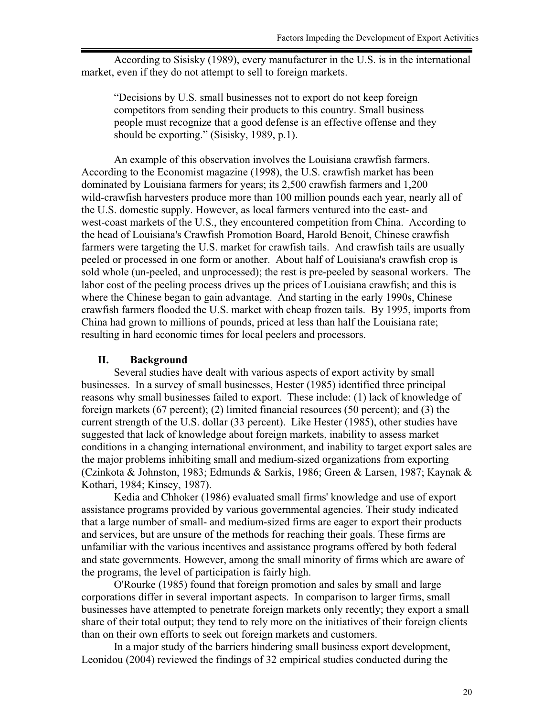According to Sisisky (1989), every manufacturer in the U.S. is in the international market, even if they do not attempt to sell to foreign markets.

"Decisions by U.S. small businesses not to export do not keep foreign competitors from sending their products to this country. Small business people must recognize that a good defense is an effective offense and they should be exporting." (Sisisky, 1989, p.1).

 An example of this observation involves the Louisiana crawfish farmers. According to the Economist magazine (1998), the U.S. crawfish market has been dominated by Louisiana farmers for years; its 2,500 crawfish farmers and 1,200 wild-crawfish harvesters produce more than 100 million pounds each year, nearly all of the U.S. domestic supply. However, as local farmers ventured into the east- and west-coast markets of the U.S., they encountered competition from China. According to the head of Louisiana's Crawfish Promotion Board, Harold Benoit, Chinese crawfish farmers were targeting the U.S. market for crawfish tails. And crawfish tails are usually peeled or processed in one form or another. About half of Louisiana's crawfish crop is sold whole (un-peeled, and unprocessed); the rest is pre-peeled by seasonal workers. The labor cost of the peeling process drives up the prices of Louisiana crawfish; and this is where the Chinese began to gain advantage. And starting in the early 1990s, Chinese crawfish farmers flooded the U.S. market with cheap frozen tails. By 1995, imports from China had grown to millions of pounds, priced at less than half the Louisiana rate; resulting in hard economic times for local peelers and processors.

### **II. Background**

 Several studies have dealt with various aspects of export activity by small businesses. In a survey of small businesses, Hester (1985) identified three principal reasons why small businesses failed to export. These include: (1) lack of knowledge of foreign markets (67 percent); (2) limited financial resources (50 percent); and (3) the current strength of the U.S. dollar (33 percent). Like Hester (1985), other studies have suggested that lack of knowledge about foreign markets, inability to assess market conditions in a changing international environment, and inability to target export sales are the major problems inhibiting small and medium-sized organizations from exporting (Czinkota & Johnston, 1983; Edmunds & Sarkis, 1986; Green & Larsen, 1987; Kaynak & Kothari, 1984; Kinsey, 1987).

 Kedia and Chhoker (1986) evaluated small firms' knowledge and use of export assistance programs provided by various governmental agencies. Their study indicated that a large number of small- and medium-sized firms are eager to export their products and services, but are unsure of the methods for reaching their goals. These firms are unfamiliar with the various incentives and assistance programs offered by both federal and state governments. However, among the small minority of firms which are aware of the programs, the level of participation is fairly high.

 O'Rourke (1985) found that foreign promotion and sales by small and large corporations differ in several important aspects. In comparison to larger firms, small businesses have attempted to penetrate foreign markets only recently; they export a small share of their total output; they tend to rely more on the initiatives of their foreign clients than on their own efforts to seek out foreign markets and customers.

 In a major study of the barriers hindering small business export development, Leonidou (2004) reviewed the findings of 32 empirical studies conducted during the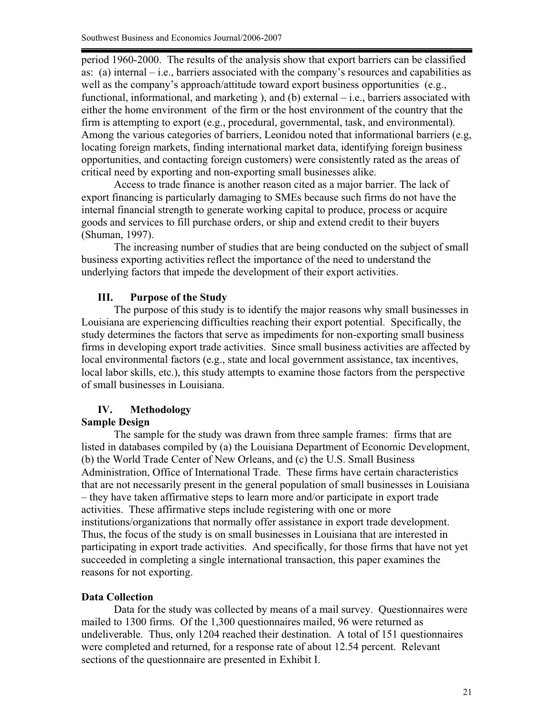period 1960-2000. The results of the analysis show that export barriers can be classified as: (a) internal – i.e., barriers associated with the company's resources and capabilities as well as the company's approach/attitude toward export business opportunities (e.g., functional, informational, and marketing ), and (b) external – i.e., barriers associated with either the home environment of the firm or the host environment of the country that the firm is attempting to export (e.g., procedural, governmental, task, and environmental). Among the various categories of barriers, Leonidou noted that informational barriers (e.g, locating foreign markets, finding international market data, identifying foreign business opportunities, and contacting foreign customers) were consistently rated as the areas of critical need by exporting and non-exporting small businesses alike.

 Access to trade finance is another reason cited as a major barrier. The lack of export financing is particularly damaging to SMEs because such firms do not have the internal financial strength to generate working capital to produce, process or acquire goods and services to fill purchase orders, or ship and extend credit to their buyers (Shuman, 1997).

The increasing number of studies that are being conducted on the subject of small business exporting activities reflect the importance of the need to understand the underlying factors that impede the development of their export activities.

## **III. Purpose of the Study**

 The purpose of this study is to identify the major reasons why small businesses in Louisiana are experiencing difficulties reaching their export potential. Specifically, the study determines the factors that serve as impediments for non-exporting small business firms in developing export trade activities. Since small business activities are affected by local environmental factors (e.g., state and local government assistance, tax incentives, local labor skills, etc.), this study attempts to examine those factors from the perspective of small businesses in Louisiana.

# **IV. Methodology**

# **Sample Design**

 The sample for the study was drawn from three sample frames: firms that are listed in databases compiled by (a) the Louisiana Department of Economic Development, (b) the World Trade Center of New Orleans, and (c) the U.S. Small Business Administration, Office of International Trade. These firms have certain characteristics that are not necessarily present in the general population of small businesses in Louisiana – they have taken affirmative steps to learn more and/or participate in export trade activities. These affirmative steps include registering with one or more institutions/organizations that normally offer assistance in export trade development. Thus, the focus of the study is on small businesses in Louisiana that are interested in participating in export trade activities. And specifically, for those firms that have not yet succeeded in completing a single international transaction, this paper examines the reasons for not exporting.

# **Data Collection**

 Data for the study was collected by means of a mail survey. Questionnaires were mailed to 1300 firms. Of the 1,300 questionnaires mailed, 96 were returned as undeliverable. Thus, only 1204 reached their destination. A total of 151 questionnaires were completed and returned, for a response rate of about 12.54 percent. Relevant sections of the questionnaire are presented in Exhibit I.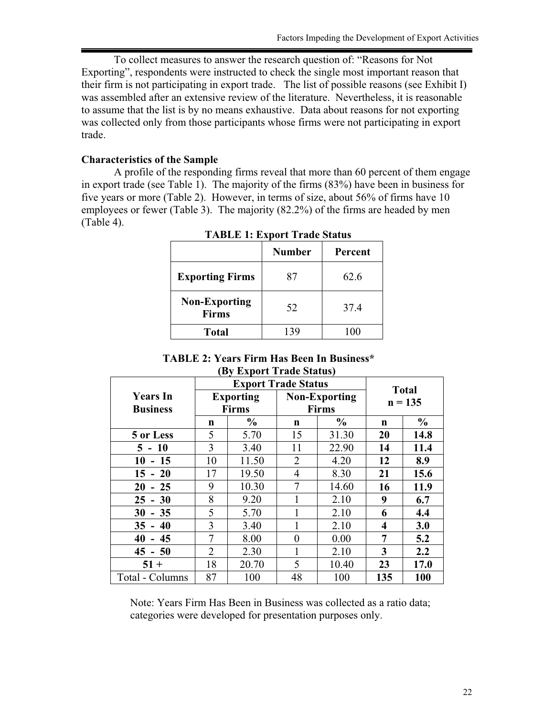To collect measures to answer the research question of: "Reasons for Not Exporting", respondents were instructed to check the single most important reason that their firm is not participating in export trade. The list of possible reasons (see Exhibit I) was assembled after an extensive review of the literature. Nevertheless, it is reasonable to assume that the list is by no means exhaustive. Data about reasons for not exporting was collected only from those participants whose firms were not participating in export trade.

### **Characteristics of the Sample**

 A profile of the responding firms reveal that more than 60 percent of them engage in export trade (see Table 1). The majority of the firms (83%) have been in business for five years or more (Table 2). However, in terms of size, about 56% of firms have 10 employees or fewer (Table 3). The majority (82.2%) of the firms are headed by men (Table 4).

|                                      | <b>Number</b> | Percent |
|--------------------------------------|---------------|---------|
| <b>Exporting Firms</b>               | 87            | 62.6    |
| <b>Non-Exporting</b><br><b>Firms</b> | 52            | 37.4    |
| <b>Total</b>                         |               |         |

**TABLE 1: Export Trade Status**

### **TABLE 2: Years Firm Has Been In Business\* (By Export Trade Status)**

|                 |                | <b>Export Trade Status</b> |                      |               |                           |               |
|-----------------|----------------|----------------------------|----------------------|---------------|---------------------------|---------------|
| <b>Years In</b> |                | <b>Exporting</b>           | <b>Non-Exporting</b> |               | <b>Total</b><br>$n = 135$ |               |
| <b>Business</b> |                | <b>Firms</b>               |                      | <b>Firms</b>  |                           |               |
|                 | n              | $\frac{0}{0}$              | n                    | $\frac{0}{0}$ | n                         | $\frac{6}{6}$ |
| 5 or Less       | 5              | 5.70                       | 15                   | 31.30         | 20                        | 14.8          |
| $5 - 10$        | 3              | 3.40                       | 11                   | 22.90         | 14                        | 11.4          |
| $10 - 15$       | 10             | 11.50                      | $\overline{2}$       | 4.20          | 12                        | 8.9           |
| $15 - 20$       | 17             | 19.50                      | 4                    | 8.30          | 21                        | 15.6          |
| $20 - 25$       | 9              | 10.30                      |                      | 14.60         | 16                        | 11.9          |
| $25 - 30$       | 8              | 9.20                       |                      | 2.10          | 9                         | 6.7           |
| $30 - 35$       | 5              | 5.70                       |                      | 2.10          | 6                         | 4.4           |
| $35 - 40$       | 3              | 3.40                       |                      | 2.10          | 4                         | 3.0           |
| $40 - 45$       | 7              | 8.00                       | $\theta$             | 0.00          | 7                         | 5.2           |
| $45 - 50$       | $\overline{2}$ | 2.30                       |                      | 2.10          | 3                         | 2.2           |
| $51 +$          | 18             | 20.70                      | 5<br>10.40           |               | 23                        | 17.0          |
| Total - Columns | 87             | 100                        | 48                   | 100           | 135                       | 100           |

Note: Years Firm Has Been in Business was collected as a ratio data; categories were developed for presentation purposes only.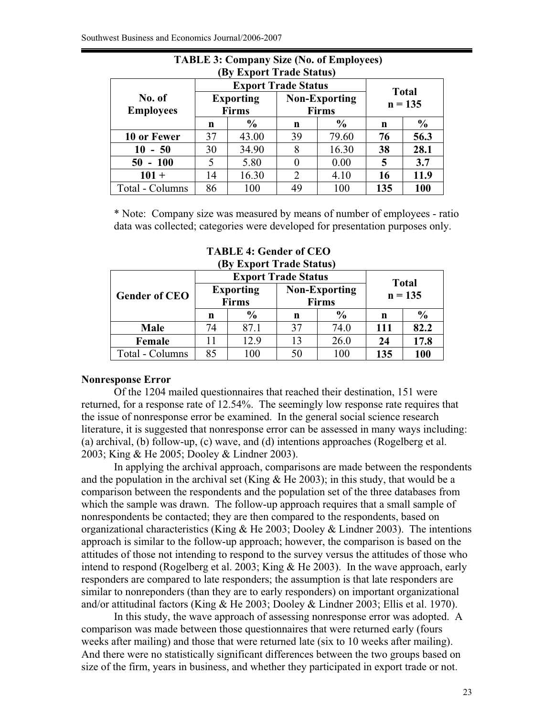| (By Export Trage Status)   |                            |                                  |                                                            |       |              |               |  |
|----------------------------|----------------------------|----------------------------------|------------------------------------------------------------|-------|--------------|---------------|--|
|                            | <b>Export Trade Status</b> |                                  |                                                            |       | <b>Total</b> |               |  |
| No. of<br><b>Employees</b> |                            | <b>Exporting</b><br><b>Firms</b> | <b>Non-Exporting</b><br><b>Firms</b><br>$\frac{6}{6}$<br>n |       | $n = 135$    |               |  |
|                            | n                          | $\frac{6}{6}$                    |                                                            |       | n            | $\frac{6}{9}$ |  |
| 10 or Fewer                | 37                         | 43.00                            | 39                                                         | 79.60 | 76           | 56.3          |  |
| $10 - 50$                  | 30                         | 34.90                            | 8                                                          | 16.30 | 38           | 28.1          |  |
| $50 - 100$                 | 5                          | 5.80                             | 0                                                          | 0.00  | 5            | 3.7           |  |
| $101 +$                    | 14                         | 16.30                            | $\overline{2}$                                             | 4.10  | 16           | 11.9          |  |
| Total - Columns            | 86                         | 100                              | 49                                                         | 100   | 135          | 100           |  |

**TABLE 3: Company Size (No. of Employees) (By Export Trade Status)** 

\* Note: Company size was measured by means of number of employees - ratio data was collected; categories were developed for presentation purposes only.

| <b>Gender of CEO</b> |    | <b>Exporting</b><br><b>Firms</b> | <b>Export Trade Status</b><br><b>Non-Exporting</b><br><b>Firms</b> |               | <b>Total</b><br>$n = 135$ |               |
|----------------------|----|----------------------------------|--------------------------------------------------------------------|---------------|---------------------------|---------------|
|                      | n  | $\frac{0}{0}$                    | n                                                                  | $\frac{0}{0}$ | n                         | $\frac{6}{9}$ |
| <b>Male</b>          | 74 | 87.1                             | 37                                                                 | 74.0          | 111                       | 82.2          |
| Female               |    | 12.9                             | 13                                                                 | 26.0          | 24                        | 17.8          |
| Total - Columns      | 85 | 00                               | 50                                                                 | -00           | 135                       | 100           |

**TABLE 4: Gender of CEO (By Export Trade Status)**

### **Nonresponse Error**

 Of the 1204 mailed questionnaires that reached their destination, 151 were returned, for a response rate of 12.54%. The seemingly low response rate requires that the issue of nonresponse error be examined. In the general social science research literature, it is suggested that nonresponse error can be assessed in many ways including: (a) archival, (b) follow-up, (c) wave, and (d) intentions approaches (Rogelberg et al. 2003; King & He 2005; Dooley & Lindner 2003).

In applying the archival approach, comparisons are made between the respondents and the population in the archival set (King  $\&$  He 2003); in this study, that would be a comparison between the respondents and the population set of the three databases from which the sample was drawn. The follow-up approach requires that a small sample of nonrespondents be contacted; they are then compared to the respondents, based on organizational characteristics (King & He 2003; Dooley & Lindner 2003). The intentions approach is similar to the follow-up approach; however, the comparison is based on the attitudes of those not intending to respond to the survey versus the attitudes of those who intend to respond (Rogelberg et al. 2003; King & He 2003). In the wave approach, early responders are compared to late responders; the assumption is that late responders are similar to nonreponders (than they are to early responders) on important organizational and/or attitudinal factors (King & He 2003; Dooley & Lindner 2003; Ellis et al. 1970).

In this study, the wave approach of assessing nonresponse error was adopted. A comparison was made between those questionnaires that were returned early (fours weeks after mailing) and those that were returned late (six to 10 weeks after mailing). And there were no statistically significant differences between the two groups based on size of the firm, years in business, and whether they participated in export trade or not.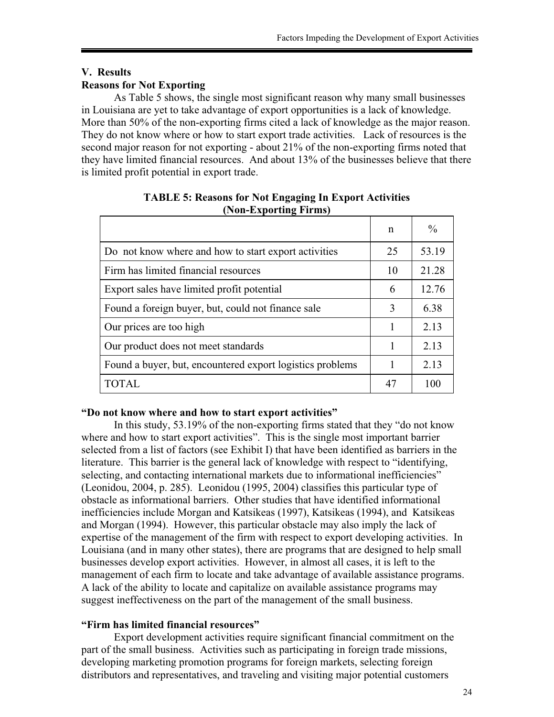# **V. Results Reasons for Not Exporting**

 As Table 5 shows, the single most significant reason why many small businesses in Louisiana are yet to take advantage of export opportunities is a lack of knowledge. More than 50% of the non-exporting firms cited a lack of knowledge as the major reason. They do not know where or how to start export trade activities. Lack of resources is the second major reason for not exporting - about 21% of the non-exporting firms noted that they have limited financial resources. And about 13% of the businesses believe that there is limited profit potential in export trade.

| $\cdots$ $\cdots$ $\cdots$ $\cdots$ $\cdots$ $\cdots$ $\cdots$ $\cdots$ |    |               |
|-------------------------------------------------------------------------|----|---------------|
|                                                                         | n  | $\frac{0}{0}$ |
| Do not know where and how to start export activities                    | 25 | 53.19         |
| Firm has limited financial resources                                    | 10 | 21.28         |
| Export sales have limited profit potential                              | 6  | 12.76         |
| Found a foreign buyer, but, could not finance sale                      | 3  | 6.38          |
| Our prices are too high                                                 | 1  | 2.13          |
| Our product does not meet standards                                     | 1  | 2.13          |
| Found a buyer, but, encountered export logistics problems               |    | 2.13          |
| TOTAL                                                                   | 47 | 100           |

## **TABLE 5: Reasons for Not Engaging In Export Activities (Non-Exporting Firms)**

# **"Do not know where and how to start export activities"**

In this study, 53.19% of the non-exporting firms stated that they "do not know where and how to start export activities". This is the single most important barrier selected from a list of factors (see Exhibit I) that have been identified as barriers in the literature. This barrier is the general lack of knowledge with respect to "identifying, selecting, and contacting international markets due to informational inefficiencies" (Leonidou, 2004, p. 285). Leonidou (1995, 2004) classifies this particular type of obstacle as informational barriers. Other studies that have identified informational inefficiencies include Morgan and Katsikeas (1997), Katsikeas (1994), and Katsikeas and Morgan (1994). However, this particular obstacle may also imply the lack of expertise of the management of the firm with respect to export developing activities. In Louisiana (and in many other states), there are programs that are designed to help small businesses develop export activities. However, in almost all cases, it is left to the management of each firm to locate and take advantage of available assistance programs. A lack of the ability to locate and capitalize on available assistance programs may suggest ineffectiveness on the part of the management of the small business.

### **"Firm has limited financial resources"**

 Export development activities require significant financial commitment on the part of the small business. Activities such as participating in foreign trade missions, developing marketing promotion programs for foreign markets, selecting foreign distributors and representatives, and traveling and visiting major potential customers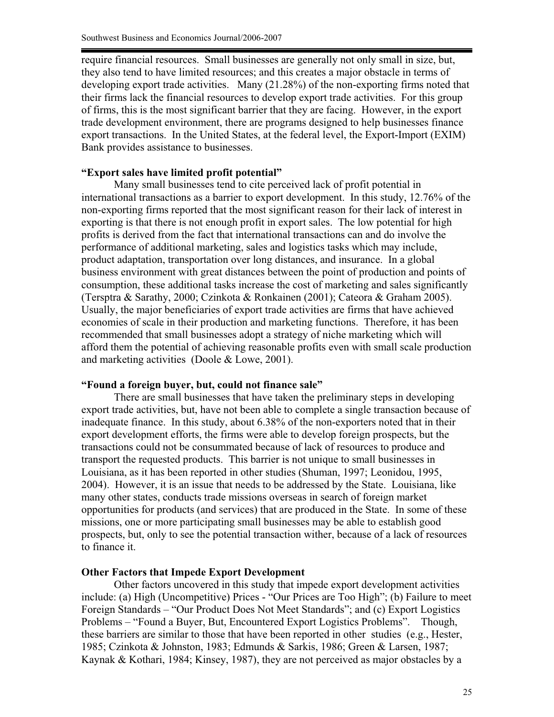require financial resources. Small businesses are generally not only small in size, but, they also tend to have limited resources; and this creates a major obstacle in terms of developing export trade activities. Many (21.28%) of the non-exporting firms noted that their firms lack the financial resources to develop export trade activities. For this group of firms, this is the most significant barrier that they are facing. However, in the export trade development environment, there are programs designed to help businesses finance export transactions. In the United States, at the federal level, the Export-Import (EXIM) Bank provides assistance to businesses.

#### **"Export sales have limited profit potential"**

 Many small businesses tend to cite perceived lack of profit potential in international transactions as a barrier to export development. In this study, 12.76% of the non-exporting firms reported that the most significant reason for their lack of interest in exporting is that there is not enough profit in export sales. The low potential for high profits is derived from the fact that international transactions can and do involve the performance of additional marketing, sales and logistics tasks which may include, product adaptation, transportation over long distances, and insurance. In a global business environment with great distances between the point of production and points of consumption, these additional tasks increase the cost of marketing and sales significantly (Tersptra & Sarathy, 2000; Czinkota & Ronkainen (2001); Cateora & Graham 2005). Usually, the major beneficiaries of export trade activities are firms that have achieved economies of scale in their production and marketing functions. Therefore, it has been recommended that small businesses adopt a strategy of niche marketing which will afford them the potential of achieving reasonable profits even with small scale production and marketing activities (Doole & Lowe, 2001).

### **"Found a foreign buyer, but, could not finance sale"**

 There are small businesses that have taken the preliminary steps in developing export trade activities, but, have not been able to complete a single transaction because of inadequate finance. In this study, about 6.38% of the non-exporters noted that in their export development efforts, the firms were able to develop foreign prospects, but the transactions could not be consummated because of lack of resources to produce and transport the requested products. This barrier is not unique to small businesses in Louisiana, as it has been reported in other studies (Shuman, 1997; Leonidou, 1995, 2004). However, it is an issue that needs to be addressed by the State. Louisiana, like many other states, conducts trade missions overseas in search of foreign market opportunities for products (and services) that are produced in the State. In some of these missions, one or more participating small businesses may be able to establish good prospects, but, only to see the potential transaction wither, because of a lack of resources to finance it.

#### **Other Factors that Impede Export Development**

 Other factors uncovered in this study that impede export development activities include: (a) High (Uncompetitive) Prices - "Our Prices are Too High"; (b) Failure to meet Foreign Standards – "Our Product Does Not Meet Standards"; and (c) Export Logistics Problems – "Found a Buyer, But, Encountered Export Logistics Problems". Though, these barriers are similar to those that have been reported in other studies (e.g., Hester, 1985; Czinkota & Johnston, 1983; Edmunds & Sarkis, 1986; Green & Larsen, 1987; Kaynak & Kothari, 1984; Kinsey, 1987), they are not perceived as major obstacles by a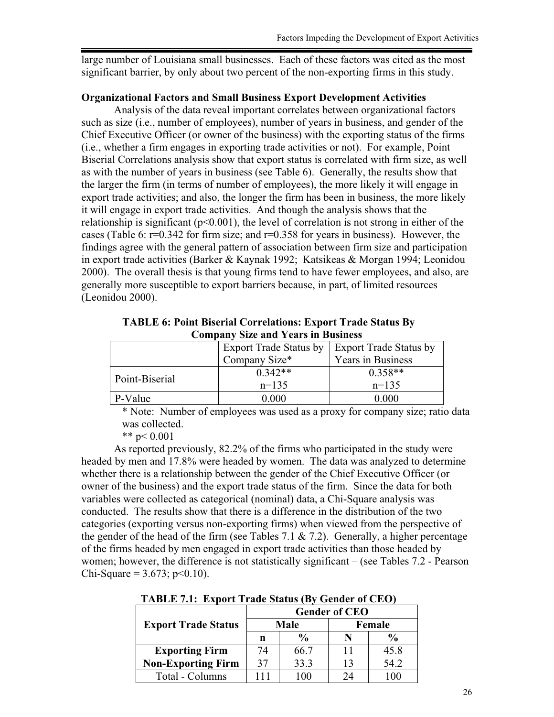large number of Louisiana small businesses. Each of these factors was cited as the most significant barrier, by only about two percent of the non-exporting firms in this study.

### **Organizational Factors and Small Business Export Development Activities**

Analysis of the data reveal important correlates between organizational factors such as size (i.e., number of employees), number of years in business, and gender of the Chief Executive Officer (or owner of the business) with the exporting status of the firms (i.e., whether a firm engages in exporting trade activities or not). For example, Point Biserial Correlations analysis show that export status is correlated with firm size, as well as with the number of years in business (see Table 6). Generally, the results show that the larger the firm (in terms of number of employees), the more likely it will engage in export trade activities; and also, the longer the firm has been in business, the more likely it will engage in export trade activities. And though the analysis shows that the relationship is significant ( $p<0.001$ ), the level of correlation is not strong in either of the cases (Table 6:  $r=0.342$  for firm size; and  $r=0.358$  for years in business). However, the findings agree with the general pattern of association between firm size and participation in export trade activities (Barker & Kaynak 1992; Katsikeas & Morgan 1994; Leonidou 2000). The overall thesis is that young firms tend to have fewer employees, and also, are generally more susceptible to export barriers because, in part, of limited resources (Leonidou 2000).

**TABLE 6: Point Biserial Correlations: Export Trade Status By Company Size and Years in Business**

|                | <b>Export Trade Status by</b> | Export Trade Status by |
|----------------|-------------------------------|------------------------|
|                | Company Size*                 | Years in Business      |
|                | $0.342**$                     | $0.358**$              |
| Point-Biserial | $n=135$                       | $n=135$                |
| P-Value        | 0.000                         | 0 000                  |

\* Note: Number of employees was used as a proxy for company size; ratio data was collected.

\*\* p< 0.001

As reported previously, 82.2% of the firms who participated in the study were headed by men and 17.8% were headed by women. The data was analyzed to determine whether there is a relationship between the gender of the Chief Executive Officer (or owner of the business) and the export trade status of the firm. Since the data for both variables were collected as categorical (nominal) data, a Chi-Square analysis was conducted. The results show that there is a difference in the distribution of the two categories (exporting versus non-exporting firms) when viewed from the perspective of the gender of the head of the firm (see Tables 7.1  $\&$  7.2). Generally, a higher percentage of the firms headed by men engaged in export trade activities than those headed by women; however, the difference is not statistically significant – (see Tables 7.2 - Pearson Chi-Square =  $3.673$ ; p<0.10).

|                            | <b>Gender of CEO</b> |               |        |      |  |
|----------------------------|----------------------|---------------|--------|------|--|
| <b>Export Trade Status</b> |                      | Male          | Female |      |  |
|                            | n                    | $\frac{0}{0}$ |        | %    |  |
| <b>Exporting Firm</b>      | 74                   | 66.7          |        | 45.8 |  |
| <b>Non-Exporting Firm</b>  | 37                   | 33.3          | 13     | 54.2 |  |
| Total - Columns            |                      | 10C           | 24     |      |  |

**TABLE 7.1: Export Trade Status (By Gender of CEO)**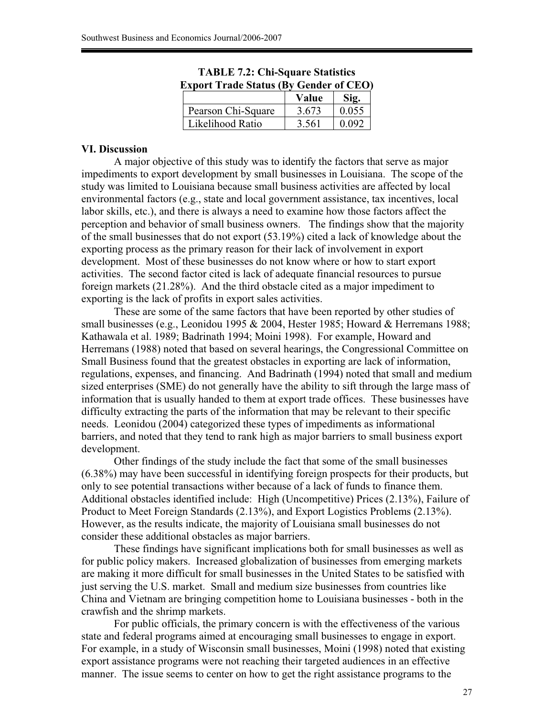| <b>Export Trade Status (By Gender of CEO)</b> |       |       |  |  |
|-----------------------------------------------|-------|-------|--|--|
|                                               | Value | Sig.  |  |  |
| Pearson Chi-Square                            | 3.673 | 0.055 |  |  |
| Likelihood Ratio                              | 3.561 | 0.092 |  |  |

**TABLE 7.2: Chi-Square Statistics** 

### **VI. Discussion**

 A major objective of this study was to identify the factors that serve as major impediments to export development by small businesses in Louisiana. The scope of the study was limited to Louisiana because small business activities are affected by local environmental factors (e.g., state and local government assistance, tax incentives, local labor skills, etc.), and there is always a need to examine how those factors affect the perception and behavior of small business owners. The findings show that the majority of the small businesses that do not export (53.19%) cited a lack of knowledge about the exporting process as the primary reason for their lack of involvement in export development. Most of these businesses do not know where or how to start export activities. The second factor cited is lack of adequate financial resources to pursue foreign markets (21.28%). And the third obstacle cited as a major impediment to exporting is the lack of profits in export sales activities.

 These are some of the same factors that have been reported by other studies of small businesses (e.g., Leonidou 1995 & 2004, Hester 1985; Howard & Herremans 1988; Kathawala et al. 1989; Badrinath 1994; Moini 1998). For example, Howard and Herremans (1988) noted that based on several hearings, the Congressional Committee on Small Business found that the greatest obstacles in exporting are lack of information, regulations, expenses, and financing. And Badrinath (1994) noted that small and medium sized enterprises (SME) do not generally have the ability to sift through the large mass of information that is usually handed to them at export trade offices. These businesses have difficulty extracting the parts of the information that may be relevant to their specific needs. Leonidou (2004) categorized these types of impediments as informational barriers, and noted that they tend to rank high as major barriers to small business export development.

Other findings of the study include the fact that some of the small businesses (6.38%) may have been successful in identifying foreign prospects for their products, but only to see potential transactions wither because of a lack of funds to finance them. Additional obstacles identified include: High (Uncompetitive) Prices (2.13%), Failure of Product to Meet Foreign Standards (2.13%), and Export Logistics Problems (2.13%). However, as the results indicate, the majority of Louisiana small businesses do not consider these additional obstacles as major barriers.

 These findings have significant implications both for small businesses as well as for public policy makers. Increased globalization of businesses from emerging markets are making it more difficult for small businesses in the United States to be satisfied with just serving the U.S. market. Small and medium size businesses from countries like China and Vietnam are bringing competition home to Louisiana businesses - both in the crawfish and the shrimp markets.

 For public officials, the primary concern is with the effectiveness of the various state and federal programs aimed at encouraging small businesses to engage in export. For example, in a study of Wisconsin small businesses, Moini (1998) noted that existing export assistance programs were not reaching their targeted audiences in an effective manner. The issue seems to center on how to get the right assistance programs to the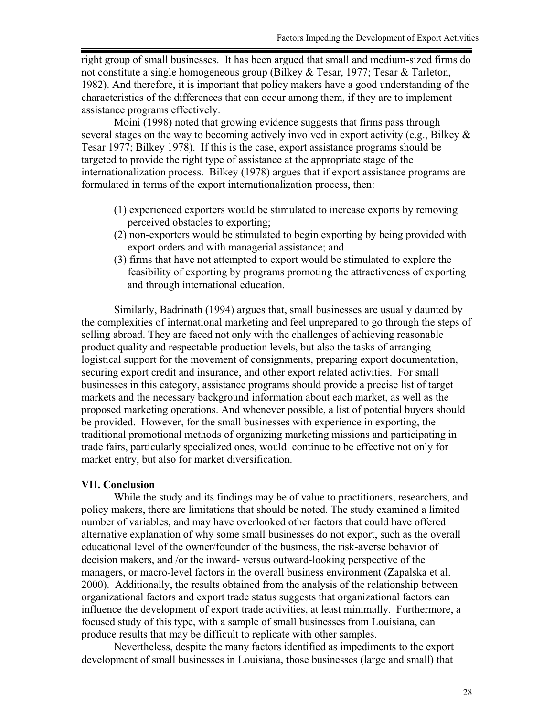right group of small businesses. It has been argued that small and medium-sized firms do not constitute a single homogeneous group (Bilkey & Tesar, 1977; Tesar & Tarleton, 1982). And therefore, it is important that policy makers have a good understanding of the characteristics of the differences that can occur among them, if they are to implement assistance programs effectively.

 Moini (1998) noted that growing evidence suggests that firms pass through several stages on the way to becoming actively involved in export activity (e.g., Bilkey & Tesar 1977; Bilkey 1978). If this is the case, export assistance programs should be targeted to provide the right type of assistance at the appropriate stage of the internationalization process. Bilkey (1978) argues that if export assistance programs are formulated in terms of the export internationalization process, then:

- (1) experienced exporters would be stimulated to increase exports by removing perceived obstacles to exporting;
- (2) non-exporters would be stimulated to begin exporting by being provided with export orders and with managerial assistance; and
- (3) firms that have not attempted to export would be stimulated to explore the feasibility of exporting by programs promoting the attractiveness of exporting and through international education.

 Similarly, Badrinath (1994) argues that, small businesses are usually daunted by the complexities of international marketing and feel unprepared to go through the steps of selling abroad. They are faced not only with the challenges of achieving reasonable product quality and respectable production levels, but also the tasks of arranging logistical support for the movement of consignments, preparing export documentation, securing export credit and insurance, and other export related activities. For small businesses in this category, assistance programs should provide a precise list of target markets and the necessary background information about each market, as well as the proposed marketing operations. And whenever possible, a list of potential buyers should be provided. However, for the small businesses with experience in exporting, the traditional promotional methods of organizing marketing missions and participating in trade fairs, particularly specialized ones, would continue to be effective not only for market entry, but also for market diversification.

#### **VII. Conclusion**

 While the study and its findings may be of value to practitioners, researchers, and policy makers, there are limitations that should be noted. The study examined a limited number of variables, and may have overlooked other factors that could have offered alternative explanation of why some small businesses do not export, such as the overall educational level of the owner/founder of the business, the risk-averse behavior of decision makers, and /or the inward- versus outward-looking perspective of the managers, or macro-level factors in the overall business environment (Zapalska et al. 2000). Additionally, the results obtained from the analysis of the relationship between organizational factors and export trade status suggests that organizational factors can influence the development of export trade activities, at least minimally. Furthermore, a focused study of this type, with a sample of small businesses from Louisiana, can produce results that may be difficult to replicate with other samples.

 Nevertheless, despite the many factors identified as impediments to the export development of small businesses in Louisiana, those businesses (large and small) that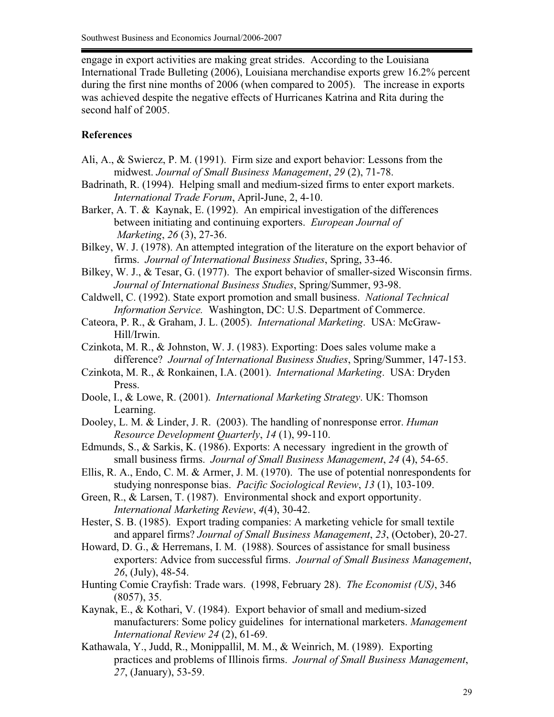engage in export activities are making great strides. According to the Louisiana International Trade Bulleting (2006), Louisiana merchandise exports grew 16.2% percent during the first nine months of 2006 (when compared to 2005). The increase in exports was achieved despite the negative effects of Hurricanes Katrina and Rita during the second half of 2005.

## **References**

- Ali, A., & Swiercz, P. M. (1991). Firm size and export behavior: Lessons from the midwest. *Journal of Small Business Management*, *29* (2), 71-78.
- Badrinath, R. (1994). Helping small and medium-sized firms to enter export markets. *International Trade Forum*, April-June, 2, 4-10.
- Barker, A. T. & Kaynak, E. (1992). An empirical investigation of the differences between initiating and continuing exporters. *European Journal of Marketing*, *26* (3), 27-36.
- Bilkey, W. J. (1978). An attempted integration of the literature on the export behavior of firms. *Journal of International Business Studies*, Spring, 33-46.
- Bilkey, W. J., & Tesar, G. (1977). The export behavior of smaller-sized Wisconsin firms. *Journal of International Business Studies*, Spring/Summer, 93-98.
- Caldwell, C. (1992). State export promotion and small business. *National Technical Information Service.* Washington, DC: U.S. Department of Commerce.
- Cateora, P. R., & Graham, J. L. (2005). *International Marketing*. USA: McGraw-Hill/Irwin.
- Czinkota, M. R., & Johnston, W. J. (1983). Exporting: Does sales volume make a difference? *Journal of International Business Studies*, Spring/Summer, 147-153.
- Czinkota, M. R., & Ronkainen, I.A. (2001). *International Marketing*. USA: Dryden Press.
- Doole, I., & Lowe, R. (2001). *International Marketing Strategy*. UK: Thomson Learning.
- Dooley, L. M. & Linder, J. R. (2003). The handling of nonresponse error. *Human Resource Development Quarterly*, *14* (1), 99-110.
- Edmunds, S., & Sarkis, K. (1986). Exports: A necessary ingredient in the growth of small business firms. *Journal of Small Business Management*, *24* (4), 54-65.
- Ellis, R. A., Endo, C. M. & Armer, J. M. (1970). The use of potential nonrespondents for studying nonresponse bias. *Pacific Sociological Review*, *13* (1), 103-109.
- Green, R., & Larsen, T. (1987). Environmental shock and export opportunity. *International Marketing Review*, *4*(4), 30-42.

Hester, S. B. (1985). Export trading companies: A marketing vehicle for small textile and apparel firms? *Journal of Small Business Management*, *23*, (October), 20-27.

- Howard, D. G., & Herremans, I. M. (1988). Sources of assistance for small business exporters: Advice from successful firms. *Journal of Small Business Management*, *26*, (July), 48-54.
- Hunting Comie Crayfish: Trade wars. (1998, February 28). *The Economist (US)*, 346 (8057), 35.
- Kaynak, E., & Kothari, V. (1984). Export behavior of small and medium-sized manufacturers: Some policy guidelines for international marketers. *Management International Review 24* (2), 61-69.
- Kathawala, Y., Judd, R., Monippallil, M. M., & Weinrich, M. (1989). Exporting practices and problems of Illinois firms. *Journal of Small Business Management*, *27*, (January), 53-59.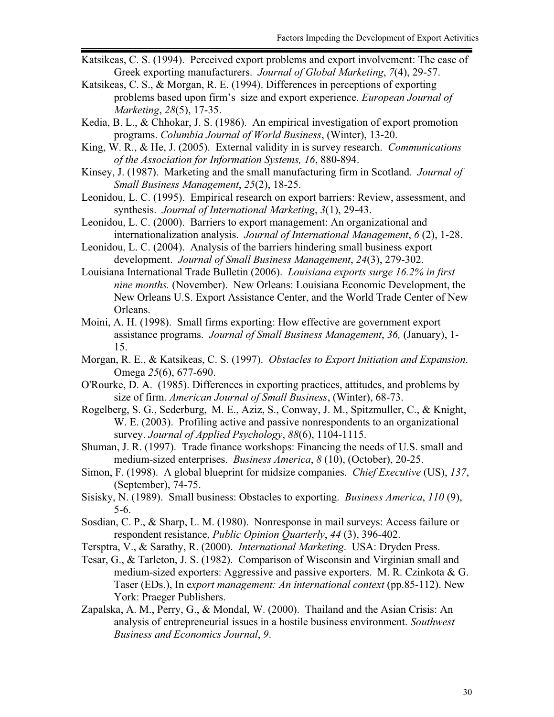- Katsikeas, C. S. (1994). Perceived export problems and export involvement: The case of Greek exporting manufacturers. *Journal of Global Marketing*, *7*(4), 29-57.
- Katsikeas, C. S., & Morgan, R. E. (1994). Differences in perceptions of exporting problems based upon firm's size and export experience. *European Journal of Marketing*, *28*(5), 17-35.
- Kedia, B. L., & Chhokar, J. S. (1986). An empirical investigation of export promotion programs. *Columbia Journal of World Business*, (Winter), 13-20.
- King, W. R., & He, J. (2005). External validity in is survey research. *Communications of the Association for Information Systems, 16*, 880-894.
- Kinsey, J. (1987). Marketing and the small manufacturing firm in Scotland. *Journal of Small Business Management*, *25*(2), 18-25.
- Leonidou, L. C. (1995). Empirical research on export barriers: Review, assessment, and synthesis. *Journal of International Marketing*, *3*(1), 29-43.
- Leonidou, L. C. (2000). Barriers to export management: An organizational and internationalization analysis. *Journal of International Management*, *6* (2), 1-28.
- Leonidou, L. C. (2004). Analysis of the barriers hindering small business export development. *Journal of Small Business Management*, *24*(3), 279-302.
- Louisiana International Trade Bulletin (2006). *Louisiana exports surge 16.2% in first nine months.* (November). New Orleans: Louisiana Economic Development, the New Orleans U.S. Export Assistance Center, and the World Trade Center of New Orleans.
- Moini, A. H. (1998). Small firms exporting: How effective are government export assistance programs. *Journal of Small Business Management*, *36,* (January), 1- 15.
- Morgan, R. E., & Katsikeas, C. S. (1997). *Obstacles to Export Initiation and Expansion*. Omega *25*(6), 677-690.
- O'Rourke, D. A. (1985). Differences in exporting practices, attitudes, and problems by size of firm. *American Journal of Small Business*, (Winter), 68-73.
- Rogelberg, S. G., Sederburg, M. E., Aziz, S., Conway, J. M., Spitzmuller, C., & Knight, W. E. (2003). Profiling active and passive nonrespondents to an organizational survey. *Journal of Applied Psychology*, *88*(6), 1104-1115.
- Shuman, J. R. (1997). Trade finance workshops: Financing the needs of U.S. small and medium-sized enterprises. *Business America*, *8* (10), (October), 20-25.
- Simon, F. (1998). A global blueprint for midsize companies. *Chief Executive* (US), *137*, (September), 74-75.
- Sisisky, N. (1989). Small business: Obstacles to exporting. *Business America*, *110* (9), 5-6.
- Sosdian, C. P., & Sharp, L. M. (1980). Nonresponse in mail surveys: Access failure or respondent resistance, *Public Opinion Quarterly*, *44* (3), 396-402.
- Tersptra, V., & Sarathy, R. (2000). *International Marketing*. USA: Dryden Press.
- Tesar, G., & Tarleton, J. S. (1982). Comparison of Wisconsin and Virginian small and medium-sized exporters: Aggressive and passive exporters. M. R. Czinkota & G. Taser (EDs.), In e*xport management: An international context* (pp.85-112). New York: Praeger Publishers.
- Zapalska, A. M., Perry, G., & Mondal, W. (2000). Thailand and the Asian Crisis: An analysis of entrepreneurial issues in a hostile business environment. *Southwest Business and Economics Journal*, *9*.